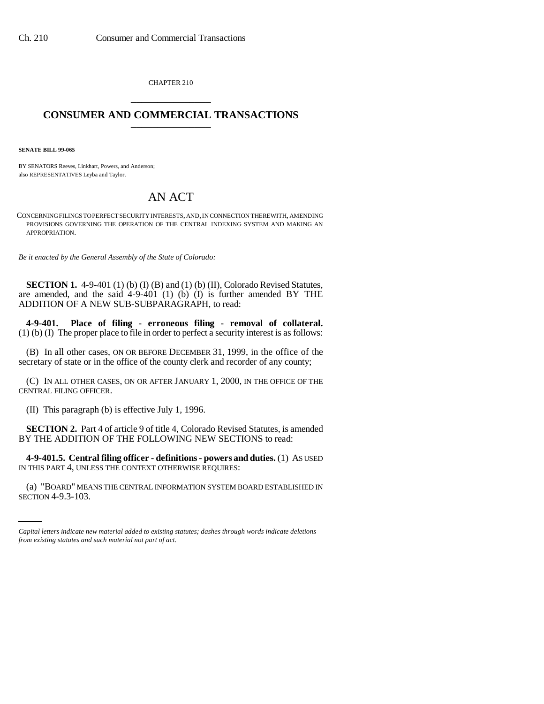CHAPTER 210 \_\_\_\_\_\_\_\_\_\_\_\_\_\_\_

## **CONSUMER AND COMMERCIAL TRANSACTIONS** \_\_\_\_\_\_\_\_\_\_\_\_\_\_\_

**SENATE BILL 99-065** 

BY SENATORS Reeves, Linkhart, Powers, and Anderson; also REPRESENTATIVES Leyba and Taylor.

## AN ACT

CONCERNING FILINGS TO PERFECT SECURITY INTERESTS, AND, IN CONNECTION THEREWITH, AMENDING PROVISIONS GOVERNING THE OPERATION OF THE CENTRAL INDEXING SYSTEM AND MAKING AN APPROPRIATION.

*Be it enacted by the General Assembly of the State of Colorado:*

**SECTION 1.** 4-9-401 (1) (b) (I) (B) and (1) (b) (II), Colorado Revised Statutes, are amended, and the said 4-9-401 (1) (b) (I) is further amended BY THE ADDITION OF A NEW SUB-SUBPARAGRAPH, to read:

**4-9-401. Place of filing - erroneous filing - removal of collateral.** (1) (b) (I) The proper place to file in order to perfect a security interest is as follows:

(B) In all other cases, ON OR BEFORE DECEMBER 31, 1999, in the office of the secretary of state or in the office of the county clerk and recorder of any county;

(C) IN ALL OTHER CASES, ON OR AFTER JANUARY 1, 2000, IN THE OFFICE OF THE CENTRAL FILING OFFICER.

(II) This paragraph  $(b)$  is effective July 1, 1996.

**SECTION 2.** Part 4 of article 9 of title 4, Colorado Revised Statutes, is amended BY THE ADDITION OF THE FOLLOWING NEW SECTIONS to read:

IN THIS PART 4, UNLESS THE CONTEXT OTHERWISE REQUIRES: **4-9-401.5. Central filing officer - definitions - powers and duties.** (1) AS USED

(a) "BOARD" MEANS THE CENTRAL INFORMATION SYSTEM BOARD ESTABLISHED IN SECTION 4-9.3-103.

*Capital letters indicate new material added to existing statutes; dashes through words indicate deletions from existing statutes and such material not part of act.*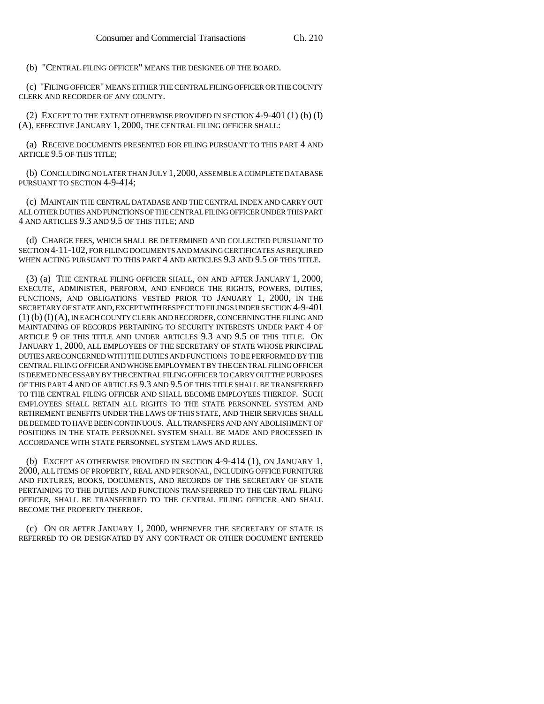(b) "CENTRAL FILING OFFICER" MEANS THE DESIGNEE OF THE BOARD.

(c) "FILING OFFICER" MEANS EITHER THE CENTRAL FILING OFFICER OR THE COUNTY CLERK AND RECORDER OF ANY COUNTY.

(2) EXCEPT TO THE EXTENT OTHERWISE PROVIDED IN SECTION  $4-9-401$  (1) (b) (I) (A), EFFECTIVE JANUARY 1, 2000, THE CENTRAL FILING OFFICER SHALL:

(a) RECEIVE DOCUMENTS PRESENTED FOR FILING PURSUANT TO THIS PART 4 AND ARTICLE 9.5 OF THIS TITLE;

(b) CONCLUDING NO LATER THAN JULY 1,2000, ASSEMBLE A COMPLETE DATABASE PURSUANT TO SECTION 4-9-414;

(c) MAINTAIN THE CENTRAL DATABASE AND THE CENTRAL INDEX AND CARRY OUT ALL OTHER DUTIES AND FUNCTIONS OF THE CENTRAL FILING OFFICER UNDER THIS PART 4 AND ARTICLES 9.3 AND 9.5 OF THIS TITLE; AND

(d) CHARGE FEES, WHICH SHALL BE DETERMINED AND COLLECTED PURSUANT TO SECTION 4-11-102, FOR FILING DOCUMENTS AND MAKING CERTIFICATES AS REQUIRED WHEN ACTING PURSUANT TO THIS PART 4 AND ARTICLES 9.3 AND 9.5 OF THIS TITLE.

(3) (a) THE CENTRAL FILING OFFICER SHALL, ON AND AFTER JANUARY 1, 2000, EXECUTE, ADMINISTER, PERFORM, AND ENFORCE THE RIGHTS, POWERS, DUTIES, FUNCTIONS, AND OBLIGATIONS VESTED PRIOR TO JANUARY 1, 2000, IN THE SECRETARY OF STATE AND, EXCEPT WITH RESPECT TO FILINGS UNDER SECTION 4-9-401 (1) (b) (I)(A), IN EACH COUNTY CLERK AND RECORDER, CONCERNING THE FILING AND MAINTAINING OF RECORDS PERTAINING TO SECURITY INTERESTS UNDER PART 4 OF ARTICLE 9 OF THIS TITLE AND UNDER ARTICLES 9.3 AND 9.5 OF THIS TITLE. ON JANUARY 1, 2000, ALL EMPLOYEES OF THE SECRETARY OF STATE WHOSE PRINCIPAL DUTIES ARE CONCERNED WITH THE DUTIES AND FUNCTIONS TO BE PERFORMED BY THE CENTRAL FILING OFFICER AND WHOSE EMPLOYMENT BY THE CENTRAL FILING OFFICER IS DEEMED NECESSARY BY THE CENTRAL FILING OFFICER TO CARRY OUT THE PURPOSES OF THIS PART 4 AND OF ARTICLES 9.3 AND 9.5 OF THIS TITLE SHALL BE TRANSFERRED TO THE CENTRAL FILING OFFICER AND SHALL BECOME EMPLOYEES THEREOF. SUCH EMPLOYEES SHALL RETAIN ALL RIGHTS TO THE STATE PERSONNEL SYSTEM AND RETIREMENT BENEFITS UNDER THE LAWS OF THIS STATE, AND THEIR SERVICES SHALL BE DEEMED TO HAVE BEEN CONTINUOUS. ALL TRANSFERS AND ANY ABOLISHMENT OF POSITIONS IN THE STATE PERSONNEL SYSTEM SHALL BE MADE AND PROCESSED IN ACCORDANCE WITH STATE PERSONNEL SYSTEM LAWS AND RULES.

(b) EXCEPT AS OTHERWISE PROVIDED IN SECTION 4-9-414 (1), ON JANUARY 1, 2000, ALL ITEMS OF PROPERTY, REAL AND PERSONAL, INCLUDING OFFICE FURNITURE AND FIXTURES, BOOKS, DOCUMENTS, AND RECORDS OF THE SECRETARY OF STATE PERTAINING TO THE DUTIES AND FUNCTIONS TRANSFERRED TO THE CENTRAL FILING OFFICER, SHALL BE TRANSFERRED TO THE CENTRAL FILING OFFICER AND SHALL BECOME THE PROPERTY THEREOF.

(c) ON OR AFTER JANUARY 1, 2000, WHENEVER THE SECRETARY OF STATE IS REFERRED TO OR DESIGNATED BY ANY CONTRACT OR OTHER DOCUMENT ENTERED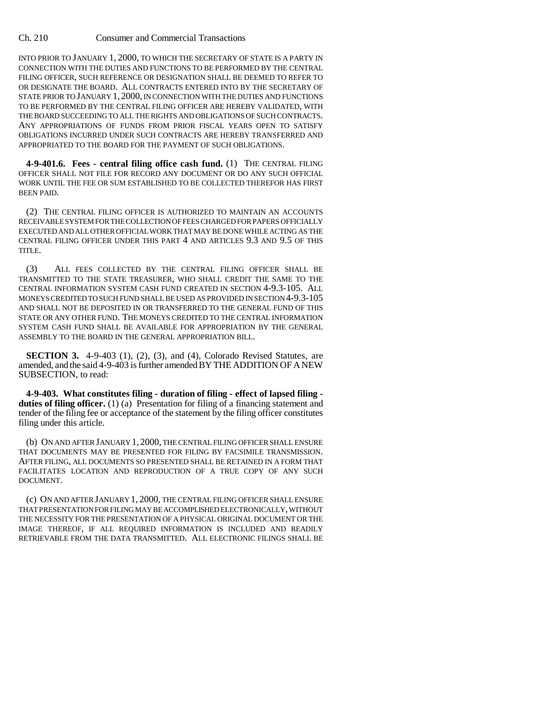INTO PRIOR TO JANUARY 1, 2000, TO WHICH THE SECRETARY OF STATE IS A PARTY IN CONNECTION WITH THE DUTIES AND FUNCTIONS TO BE PERFORMED BY THE CENTRAL FILING OFFICER, SUCH REFERENCE OR DESIGNATION SHALL BE DEEMED TO REFER TO OR DESIGNATE THE BOARD. ALL CONTRACTS ENTERED INTO BY THE SECRETARY OF STATE PRIOR TO JANUARY 1, 2000, IN CONNECTION WITH THE DUTIES AND FUNCTIONS TO BE PERFORMED BY THE CENTRAL FILING OFFICER ARE HEREBY VALIDATED, WITH THE BOARD SUCCEEDING TO ALL THE RIGHTS AND OBLIGATIONS OF SUCH CONTRACTS. ANY APPROPRIATIONS OF FUNDS FROM PRIOR FISCAL YEARS OPEN TO SATISFY OBLIGATIONS INCURRED UNDER SUCH CONTRACTS ARE HEREBY TRANSFERRED AND APPROPRIATED TO THE BOARD FOR THE PAYMENT OF SUCH OBLIGATIONS.

**4-9-401.6. Fees - central filing office cash fund.** (1) THE CENTRAL FILING OFFICER SHALL NOT FILE FOR RECORD ANY DOCUMENT OR DO ANY SUCH OFFICIAL WORK UNTIL THE FEE OR SUM ESTABLISHED TO BE COLLECTED THEREFOR HAS FIRST BEEN PAID.

(2) THE CENTRAL FILING OFFICER IS AUTHORIZED TO MAINTAIN AN ACCOUNTS RECEIVABLE SYSTEM FOR THE COLLECTION OF FEES CHARGED FOR PAPERS OFFICIALLY EXECUTED AND ALL OTHER OFFICIAL WORK THAT MAY BE DONE WHILE ACTING AS THE CENTRAL FILING OFFICER UNDER THIS PART 4 AND ARTICLES 9.3 AND 9.5 OF THIS TITLE.

(3) ALL FEES COLLECTED BY THE CENTRAL FILING OFFICER SHALL BE TRANSMITTED TO THE STATE TREASURER, WHO SHALL CREDIT THE SAME TO THE CENTRAL INFORMATION SYSTEM CASH FUND CREATED IN SECTION 4-9.3-105. ALL MONEYS CREDITED TO SUCH FUND SHALL BE USED AS PROVIDED IN SECTION 4-9.3-105 AND SHALL NOT BE DEPOSITED IN OR TRANSFERRED TO THE GENERAL FUND OF THIS STATE OR ANY OTHER FUND. THE MONEYS CREDITED TO THE CENTRAL INFORMATION SYSTEM CASH FUND SHALL BE AVAILABLE FOR APPROPRIATION BY THE GENERAL ASSEMBLY TO THE BOARD IN THE GENERAL APPROPRIATION BILL.

**SECTION 3.** 4-9-403 (1), (2), (3), and (4), Colorado Revised Statutes, are amended, and the said 4-9-403 is further amended BY THE ADDITION OF A NEW SUBSECTION, to read:

**4-9-403. What constitutes filing - duration of filing - effect of lapsed filing duties of filing officer.** (1) (a) Presentation for filing of a financing statement and tender of the filing fee or acceptance of the statement by the filing officer constitutes filing under this article.

(b) ON AND AFTER JANUARY 1, 2000, THE CENTRAL FILING OFFICER SHALL ENSURE THAT DOCUMENTS MAY BE PRESENTED FOR FILING BY FACSIMILE TRANSMISSION. AFTER FILING, ALL DOCUMENTS SO PRESENTED SHALL BE RETAINED IN A FORM THAT FACILITATES LOCATION AND REPRODUCTION OF A TRUE COPY OF ANY SUCH DOCUMENT.

(c) ON AND AFTER JANUARY 1, 2000, THE CENTRAL FILING OFFICER SHALL ENSURE THAT PRESENTATION FOR FILING MAY BE ACCOMPLISHED ELECTRONICALLY, WITHOUT THE NECESSITY FOR THE PRESENTATION OF A PHYSICAL ORIGINAL DOCUMENT OR THE IMAGE THEREOF, IF ALL REQUIRED INFORMATION IS INCLUDED AND READILY RETRIEVABLE FROM THE DATA TRANSMITTED. ALL ELECTRONIC FILINGS SHALL BE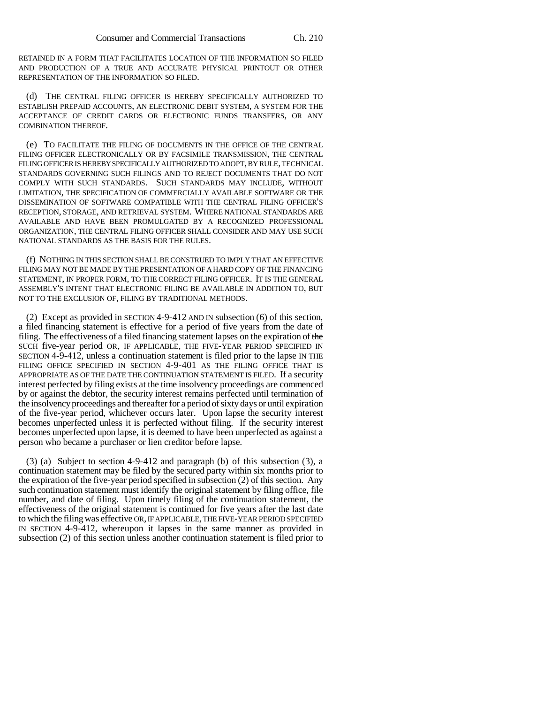RETAINED IN A FORM THAT FACILITATES LOCATION OF THE INFORMATION SO FILED AND PRODUCTION OF A TRUE AND ACCURATE PHYSICAL PRINTOUT OR OTHER REPRESENTATION OF THE INFORMATION SO FILED.

(d) THE CENTRAL FILING OFFICER IS HEREBY SPECIFICALLY AUTHORIZED TO ESTABLISH PREPAID ACCOUNTS, AN ELECTRONIC DEBIT SYSTEM, A SYSTEM FOR THE ACCEPTANCE OF CREDIT CARDS OR ELECTRONIC FUNDS TRANSFERS, OR ANY COMBINATION THEREOF.

(e) TO FACILITATE THE FILING OF DOCUMENTS IN THE OFFICE OF THE CENTRAL FILING OFFICER ELECTRONICALLY OR BY FACSIMILE TRANSMISSION, THE CENTRAL FILING OFFICER IS HEREBY SPECIFICALLY AUTHORIZED TO ADOPT, BY RULE, TECHNICAL STANDARDS GOVERNING SUCH FILINGS AND TO REJECT DOCUMENTS THAT DO NOT COMPLY WITH SUCH STANDARDS. SUCH STANDARDS MAY INCLUDE, WITHOUT LIMITATION, THE SPECIFICATION OF COMMERCIALLY AVAILABLE SOFTWARE OR THE DISSEMINATION OF SOFTWARE COMPATIBLE WITH THE CENTRAL FILING OFFICER'S RECEPTION, STORAGE, AND RETRIEVAL SYSTEM. WHERE NATIONAL STANDARDS ARE AVAILABLE AND HAVE BEEN PROMULGATED BY A RECOGNIZED PROFESSIONAL ORGANIZATION, THE CENTRAL FILING OFFICER SHALL CONSIDER AND MAY USE SUCH NATIONAL STANDARDS AS THE BASIS FOR THE RULES.

(f) NOTHING IN THIS SECTION SHALL BE CONSTRUED TO IMPLY THAT AN EFFECTIVE FILING MAY NOT BE MADE BY THE PRESENTATION OF A HARD COPY OF THE FINANCING STATEMENT, IN PROPER FORM, TO THE CORRECT FILING OFFICER. IT IS THE GENERAL ASSEMBLY'S INTENT THAT ELECTRONIC FILING BE AVAILABLE IN ADDITION TO, BUT NOT TO THE EXCLUSION OF, FILING BY TRADITIONAL METHODS.

(2) Except as provided in SECTION 4-9-412 AND IN subsection (6) of this section, a filed financing statement is effective for a period of five years from the date of filing. The effectiveness of a filed financing statement lapses on the expiration of the SUCH five-year period OR, IF APPLICABLE, THE FIVE-YEAR PERIOD SPECIFIED IN SECTION 4-9-412, unless a continuation statement is filed prior to the lapse IN THE FILING OFFICE SPECIFIED IN SECTION 4-9-401 AS THE FILING OFFICE THAT IS APPROPRIATE AS OF THE DATE THE CONTINUATION STATEMENT IS FILED. If a security interest perfected by filing exists at the time insolvency proceedings are commenced by or against the debtor, the security interest remains perfected until termination of the insolvency proceedings and thereafter for a period of sixty days or until expiration of the five-year period, whichever occurs later. Upon lapse the security interest becomes unperfected unless it is perfected without filing. If the security interest becomes unperfected upon lapse, it is deemed to have been unperfected as against a person who became a purchaser or lien creditor before lapse.

(3) (a) Subject to section 4-9-412 and paragraph (b) of this subsection (3), a continuation statement may be filed by the secured party within six months prior to the expiration of the five-year period specified in subsection (2) of this section. Any such continuation statement must identify the original statement by filing office, file number, and date of filing. Upon timely filing of the continuation statement, the effectiveness of the original statement is continued for five years after the last date to which the filing was effective OR, IF APPLICABLE, THE FIVE-YEAR PERIOD SPECIFIED IN SECTION 4-9-412, whereupon it lapses in the same manner as provided in subsection (2) of this section unless another continuation statement is filed prior to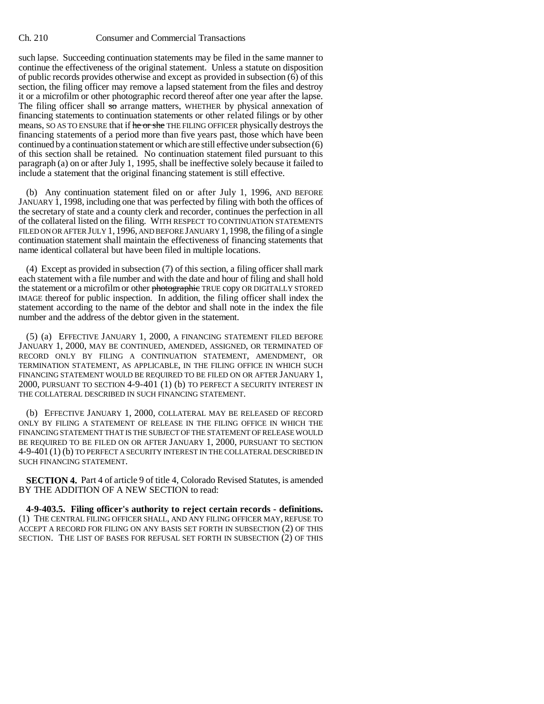such lapse. Succeeding continuation statements may be filed in the same manner to continue the effectiveness of the original statement. Unless a statute on disposition of public records provides otherwise and except as provided in subsection (6) of this section, the filing officer may remove a lapsed statement from the files and destroy it or a microfilm or other photographic record thereof after one year after the lapse. The filing officer shall so arrange matters, WHETHER by physical annexation of financing statements to continuation statements or other related filings or by other means, SO AS TO ENSURE that if he or she THE FILING OFFICER physically destroys the financing statements of a period more than five years past, those which have been continued by a continuation statement or which are still effective under subsection (6) of this section shall be retained. No continuation statement filed pursuant to this paragraph (a) on or after July 1, 1995, shall be ineffective solely because it failed to include a statement that the original financing statement is still effective.

(b) Any continuation statement filed on or after July 1, 1996, AND BEFORE JANUARY 1, 1998, including one that was perfected by filing with both the offices of the secretary of state and a county clerk and recorder, continues the perfection in all of the collateral listed on the filing. WITH RESPECT TO CONTINUATION STATEMENTS FILED ON OR AFTER JULY 1, 1996, AND BEFORE JANUARY 1, 1998, the filing of a single continuation statement shall maintain the effectiveness of financing statements that name identical collateral but have been filed in multiple locations.

(4) Except as provided in subsection (7) of this section, a filing officer shall mark each statement with a file number and with the date and hour of filing and shall hold the statement or a microfilm or other photographic TRUE copy OR DIGITALLY STORED IMAGE thereof for public inspection. In addition, the filing officer shall index the statement according to the name of the debtor and shall note in the index the file number and the address of the debtor given in the statement.

(5) (a) EFFECTIVE JANUARY 1, 2000, A FINANCING STATEMENT FILED BEFORE JANUARY 1, 2000, MAY BE CONTINUED, AMENDED, ASSIGNED, OR TERMINATED OF RECORD ONLY BY FILING A CONTINUATION STATEMENT, AMENDMENT, OR TERMINATION STATEMENT, AS APPLICABLE, IN THE FILING OFFICE IN WHICH SUCH FINANCING STATEMENT WOULD BE REQUIRED TO BE FILED ON OR AFTER JANUARY 1, 2000, PURSUANT TO SECTION 4-9-401 (1) (b) TO PERFECT A SECURITY INTEREST IN THE COLLATERAL DESCRIBED IN SUCH FINANCING STATEMENT.

(b) EFFECTIVE JANUARY 1, 2000, COLLATERAL MAY BE RELEASED OF RECORD ONLY BY FILING A STATEMENT OF RELEASE IN THE FILING OFFICE IN WHICH THE FINANCING STATEMENT THAT IS THE SUBJECT OF THE STATEMENT OF RELEASE WOULD BE REQUIRED TO BE FILED ON OR AFTER JANUARY 1, 2000, PURSUANT TO SECTION 4-9-401 (1) (b) TO PERFECT A SECURITY INTEREST IN THE COLLATERAL DESCRIBED IN SUCH FINANCING STATEMENT.

**SECTION 4.** Part 4 of article 9 of title 4, Colorado Revised Statutes, is amended BY THE ADDITION OF A NEW SECTION to read:

**4-9-403.5. Filing officer's authority to reject certain records - definitions.** (1) THE CENTRAL FILING OFFICER SHALL, AND ANY FILING OFFICER MAY, REFUSE TO ACCEPT A RECORD FOR FILING ON ANY BASIS SET FORTH IN SUBSECTION (2) OF THIS SECTION. THE LIST OF BASES FOR REFUSAL SET FORTH IN SUBSECTION (2) OF THIS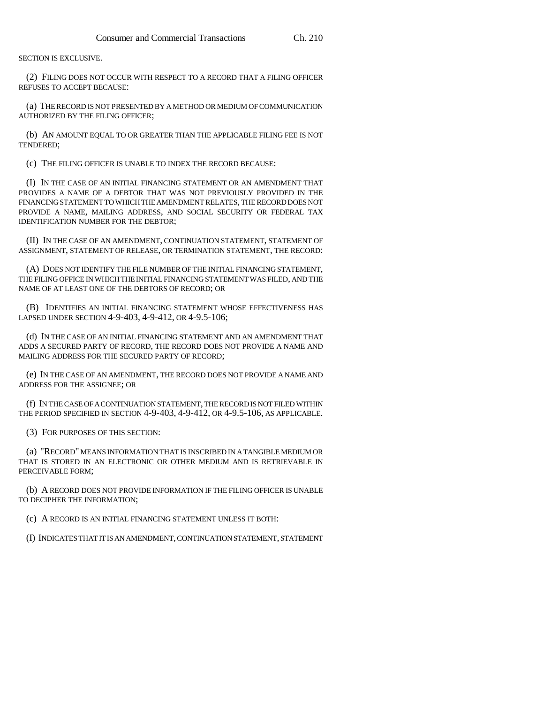SECTION IS EXCLUSIVE.

(2) FILING DOES NOT OCCUR WITH RESPECT TO A RECORD THAT A FILING OFFICER REFUSES TO ACCEPT BECAUSE:

(a) THE RECORD IS NOT PRESENTED BY A METHOD OR MEDIUM OF COMMUNICATION AUTHORIZED BY THE FILING OFFICER;

(b) AN AMOUNT EQUAL TO OR GREATER THAN THE APPLICABLE FILING FEE IS NOT TENDERED;

(c) THE FILING OFFICER IS UNABLE TO INDEX THE RECORD BECAUSE:

(I) IN THE CASE OF AN INITIAL FINANCING STATEMENT OR AN AMENDMENT THAT PROVIDES A NAME OF A DEBTOR THAT WAS NOT PREVIOUSLY PROVIDED IN THE FINANCING STATEMENT TO WHICH THE AMENDMENT RELATES, THE RECORD DOES NOT PROVIDE A NAME, MAILING ADDRESS, AND SOCIAL SECURITY OR FEDERAL TAX IDENTIFICATION NUMBER FOR THE DEBTOR;

(II) IN THE CASE OF AN AMENDMENT, CONTINUATION STATEMENT, STATEMENT OF ASSIGNMENT, STATEMENT OF RELEASE, OR TERMINATION STATEMENT, THE RECORD:

(A) DOES NOT IDENTIFY THE FILE NUMBER OF THE INITIAL FINANCING STATEMENT, THE FILING OFFICE IN WHICH THE INITIAL FINANCING STATEMENT WAS FILED, AND THE NAME OF AT LEAST ONE OF THE DEBTORS OF RECORD; OR

(B) IDENTIFIES AN INITIAL FINANCING STATEMENT WHOSE EFFECTIVENESS HAS LAPSED UNDER SECTION 4-9-403, 4-9-412, OR 4-9.5-106;

(d) IN THE CASE OF AN INITIAL FINANCING STATEMENT AND AN AMENDMENT THAT ADDS A SECURED PARTY OF RECORD, THE RECORD DOES NOT PROVIDE A NAME AND MAILING ADDRESS FOR THE SECURED PARTY OF RECORD;

(e) IN THE CASE OF AN AMENDMENT, THE RECORD DOES NOT PROVIDE A NAME AND ADDRESS FOR THE ASSIGNEE; OR

(f) IN THE CASE OF A CONTINUATION STATEMENT, THE RECORD IS NOT FILED WITHIN THE PERIOD SPECIFIED IN SECTION 4-9-403, 4-9-412, OR 4-9.5-106, AS APPLICABLE.

(3) FOR PURPOSES OF THIS SECTION:

(a) "RECORD" MEANS INFORMATION THAT IS INSCRIBED IN A TANGIBLE MEDIUM OR THAT IS STORED IN AN ELECTRONIC OR OTHER MEDIUM AND IS RETRIEVABLE IN PERCEIVABLE FORM;

(b) A RECORD DOES NOT PROVIDE INFORMATION IF THE FILING OFFICER IS UNABLE TO DECIPHER THE INFORMATION;

(c) A RECORD IS AN INITIAL FINANCING STATEMENT UNLESS IT BOTH:

(I) INDICATES THAT IT IS AN AMENDMENT, CONTINUATION STATEMENT, STATEMENT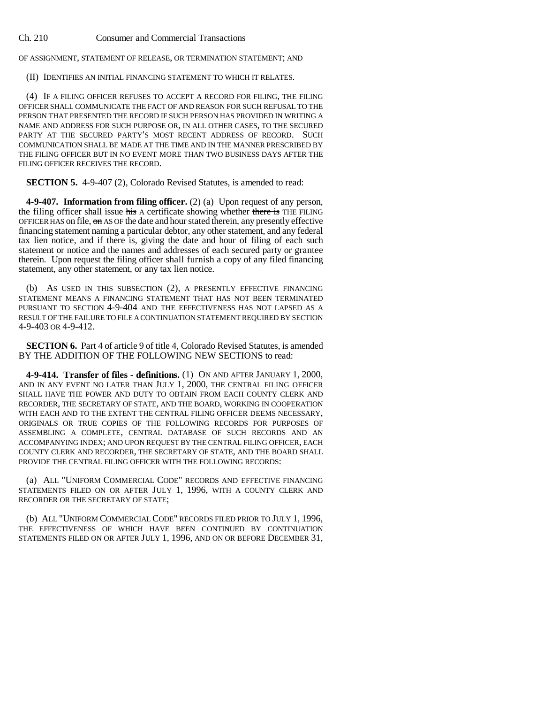OF ASSIGNMENT, STATEMENT OF RELEASE, OR TERMINATION STATEMENT; AND

(II) IDENTIFIES AN INITIAL FINANCING STATEMENT TO WHICH IT RELATES.

(4) IF A FILING OFFICER REFUSES TO ACCEPT A RECORD FOR FILING, THE FILING OFFICER SHALL COMMUNICATE THE FACT OF AND REASON FOR SUCH REFUSAL TO THE PERSON THAT PRESENTED THE RECORD IF SUCH PERSON HAS PROVIDED IN WRITING A NAME AND ADDRESS FOR SUCH PURPOSE OR, IN ALL OTHER CASES, TO THE SECURED PARTY AT THE SECURED PARTY'S MOST RECENT ADDRESS OF RECORD. SUCH COMMUNICATION SHALL BE MADE AT THE TIME AND IN THE MANNER PRESCRIBED BY THE FILING OFFICER BUT IN NO EVENT MORE THAN TWO BUSINESS DAYS AFTER THE FILING OFFICER RECEIVES THE RECORD.

**SECTION 5.** 4-9-407 (2), Colorado Revised Statutes, is amended to read:

**4-9-407. Information from filing officer.** (2) (a) Upon request of any person, the filing officer shall issue his A certificate showing whether there is THE FILING OFFICER HAS on file, on AS OF the date and hour stated therein, any presently effective financing statement naming a particular debtor, any other statement, and any federal tax lien notice, and if there is, giving the date and hour of filing of each such statement or notice and the names and addresses of each secured party or grantee therein. Upon request the filing officer shall furnish a copy of any filed financing statement, any other statement, or any tax lien notice.

(b) AS USED IN THIS SUBSECTION (2), A PRESENTLY EFFECTIVE FINANCING STATEMENT MEANS A FINANCING STATEMENT THAT HAS NOT BEEN TERMINATED PURSUANT TO SECTION 4-9-404 AND THE EFFECTIVENESS HAS NOT LAPSED AS A RESULT OF THE FAILURE TO FILE A CONTINUATION STATEMENT REQUIRED BY SECTION 4-9-403 OR 4-9-412.

**SECTION 6.** Part 4 of article 9 of title 4, Colorado Revised Statutes, is amended BY THE ADDITION OF THE FOLLOWING NEW SECTIONS to read:

**4-9-414. Transfer of files - definitions.** (1) ON AND AFTER JANUARY 1, 2000, AND IN ANY EVENT NO LATER THAN JULY 1, 2000, THE CENTRAL FILING OFFICER SHALL HAVE THE POWER AND DUTY TO OBTAIN FROM EACH COUNTY CLERK AND RECORDER, THE SECRETARY OF STATE, AND THE BOARD, WORKING IN COOPERATION WITH EACH AND TO THE EXTENT THE CENTRAL FILING OFFICER DEEMS NECESSARY. ORIGINALS OR TRUE COPIES OF THE FOLLOWING RECORDS FOR PURPOSES OF ASSEMBLING A COMPLETE, CENTRAL DATABASE OF SUCH RECORDS AND AN ACCOMPANYING INDEX; AND UPON REQUEST BY THE CENTRAL FILING OFFICER, EACH COUNTY CLERK AND RECORDER, THE SECRETARY OF STATE, AND THE BOARD SHALL PROVIDE THE CENTRAL FILING OFFICER WITH THE FOLLOWING RECORDS:

(a) ALL "UNIFORM COMMERCIAL CODE" RECORDS AND EFFECTIVE FINANCING STATEMENTS FILED ON OR AFTER JULY 1, 1996, WITH A COUNTY CLERK AND RECORDER OR THE SECRETARY OF STATE;

(b) ALL "UNIFORM COMMERCIAL CODE" RECORDS FILED PRIOR TO JULY 1, 1996, THE EFFECTIVENESS OF WHICH HAVE BEEN CONTINUED BY CONTINUATION STATEMENTS FILED ON OR AFTER JULY 1, 1996, AND ON OR BEFORE DECEMBER 31,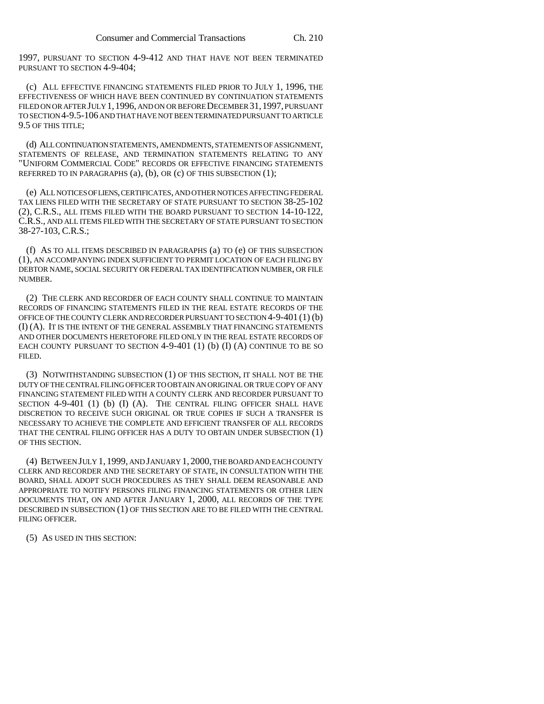1997, PURSUANT TO SECTION 4-9-412 AND THAT HAVE NOT BEEN TERMINATED PURSUANT TO SECTION 4-9-404;

(c) ALL EFFECTIVE FINANCING STATEMENTS FILED PRIOR TO JULY 1, 1996, THE EFFECTIVENESS OF WHICH HAVE BEEN CONTINUED BY CONTINUATION STATEMENTS FILED ON OR AFTER JULY 1,1996, AND ON OR BEFORE DECEMBER 31,1997, PURSUANT TO SECTION 4-9.5-106 AND THAT HAVE NOT BEEN TERMINATED PURSUANT TO ARTICLE 9.5 OF THIS TITLE;

(d) ALL CONTINUATION STATEMENTS, AMENDMENTS, STATEMENTS OF ASSIGNMENT, STATEMENTS OF RELEASE, AND TERMINATION STATEMENTS RELATING TO ANY "UNIFORM COMMERCIAL CODE" RECORDS OR EFFECTIVE FINANCING STATEMENTS REFERRED TO IN PARAGRAPHS  $(a)$ ,  $(b)$ , OR  $(c)$  OF THIS SUBSECTION  $(1)$ ;

(e) ALL NOTICES OF LIENS, CERTIFICATES, AND OTHER NOTICES AFFECTING FEDERAL TAX LIENS FILED WITH THE SECRETARY OF STATE PURSUANT TO SECTION 38-25-102 (2), C.R.S., ALL ITEMS FILED WITH THE BOARD PURSUANT TO SECTION 14-10-122, C.R.S., AND ALL ITEMS FILED WITH THE SECRETARY OF STATE PURSUANT TO SECTION 38-27-103, C.R.S.;

(f) AS TO ALL ITEMS DESCRIBED IN PARAGRAPHS (a) TO (e) OF THIS SUBSECTION (1), AN ACCOMPANYING INDEX SUFFICIENT TO PERMIT LOCATION OF EACH FILING BY DEBTOR NAME, SOCIAL SECURITY OR FEDERAL TAX IDENTIFICATION NUMBER, OR FILE NUMBER.

(2) THE CLERK AND RECORDER OF EACH COUNTY SHALL CONTINUE TO MAINTAIN RECORDS OF FINANCING STATEMENTS FILED IN THE REAL ESTATE RECORDS OF THE OFFICE OF THE COUNTY CLERK AND RECORDER PURSUANT TO SECTION 4-9-401 (1) (b) (I) (A). IT IS THE INTENT OF THE GENERAL ASSEMBLY THAT FINANCING STATEMENTS AND OTHER DOCUMENTS HERETOFORE FILED ONLY IN THE REAL ESTATE RECORDS OF EACH COUNTY PURSUANT TO SECTION  $4-9-401$  (1) (b) (I) (A) CONTINUE TO BE SO FILED.

(3) NOTWITHSTANDING SUBSECTION (1) OF THIS SECTION, IT SHALL NOT BE THE DUTY OF THE CENTRAL FILING OFFICER TO OBTAIN AN ORIGINAL OR TRUE COPY OF ANY FINANCING STATEMENT FILED WITH A COUNTY CLERK AND RECORDER PURSUANT TO SECTION 4-9-401 (1) (b) (I) (A). THE CENTRAL FILING OFFICER SHALL HAVE DISCRETION TO RECEIVE SUCH ORIGINAL OR TRUE COPIES IF SUCH A TRANSFER IS NECESSARY TO ACHIEVE THE COMPLETE AND EFFICIENT TRANSFER OF ALL RECORDS THAT THE CENTRAL FILING OFFICER HAS A DUTY TO OBTAIN UNDER SUBSECTION (1) OF THIS SECTION.

(4) BETWEEN JULY 1, 1999, AND JANUARY 1, 2000, THE BOARD AND EACH COUNTY CLERK AND RECORDER AND THE SECRETARY OF STATE, IN CONSULTATION WITH THE BOARD, SHALL ADOPT SUCH PROCEDURES AS THEY SHALL DEEM REASONABLE AND APPROPRIATE TO NOTIFY PERSONS FILING FINANCING STATEMENTS OR OTHER LIEN DOCUMENTS THAT, ON AND AFTER JANUARY 1, 2000, ALL RECORDS OF THE TYPE DESCRIBED IN SUBSECTION (1) OF THIS SECTION ARE TO BE FILED WITH THE CENTRAL FILING OFFICER.

(5) AS USED IN THIS SECTION: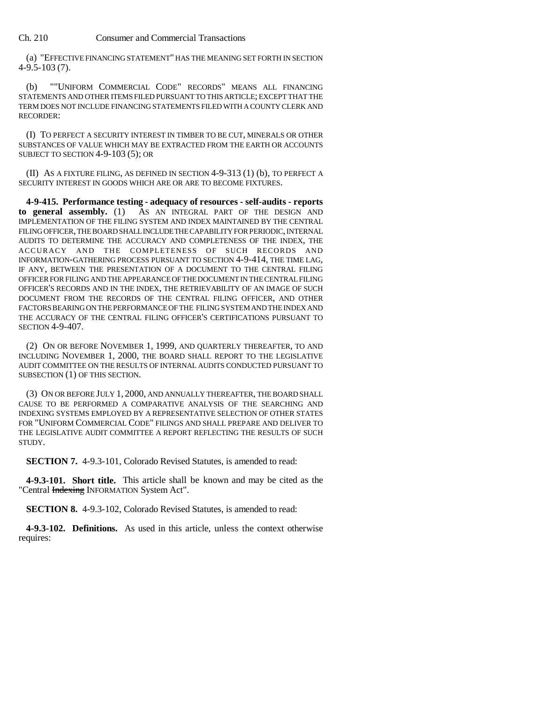(a) "EFFECTIVE FINANCING STATEMENT" HAS THE MEANING SET FORTH IN SECTION 4-9.5-103 (7).

(b) ""UNIFORM COMMERCIAL CODE" RECORDS" MEANS ALL FINANCING STATEMENTS AND OTHER ITEMS FILED PURSUANT TO THIS ARTICLE; EXCEPT THAT THE TERM DOES NOT INCLUDE FINANCING STATEMENTS FILED WITH A COUNTY CLERK AND RECORDER:

(I) TO PERFECT A SECURITY INTEREST IN TIMBER TO BE CUT, MINERALS OR OTHER SUBSTANCES OF VALUE WHICH MAY BE EXTRACTED FROM THE EARTH OR ACCOUNTS SUBJECT TO SECTION 4-9-103 (5); OR

(II) AS A FIXTURE FILING, AS DEFINED IN SECTION 4-9-313 (1) (b), TO PERFECT A SECURITY INTEREST IN GOODS WHICH ARE OR ARE TO BECOME FIXTURES.

**4-9-415. Performance testing - adequacy of resources - self-audits - reports to general assembly.** (1) AS AN INTEGRAL PART OF THE DESIGN AND IMPLEMENTATION OF THE FILING SYSTEM AND INDEX MAINTAINED BY THE CENTRAL FILING OFFICER, THE BOARD SHALL INCLUDE THE CAPABILITY FOR PERIODIC, INTERNAL AUDITS TO DETERMINE THE ACCURACY AND COMPLETENESS OF THE INDEX, THE ACCURACY AND THE COMPLETENESS OF SUCH RECORDS AND INFORMATION-GATHERING PROCESS PURSUANT TO SECTION 4-9-414, THE TIME LAG, IF ANY, BETWEEN THE PRESENTATION OF A DOCUMENT TO THE CENTRAL FILING OFFICER FOR FILING AND THE APPEARANCE OF THE DOCUMENT IN THE CENTRAL FILING OFFICER'S RECORDS AND IN THE INDEX, THE RETRIEVABILITY OF AN IMAGE OF SUCH DOCUMENT FROM THE RECORDS OF THE CENTRAL FILING OFFICER, AND OTHER FACTORS BEARING ON THE PERFORMANCE OF THE FILING SYSTEM AND THE INDEX AND THE ACCURACY OF THE CENTRAL FILING OFFICER'S CERTIFICATIONS PURSUANT TO SECTION 4-9-407.

(2) ON OR BEFORE NOVEMBER 1, 1999, AND QUARTERLY THEREAFTER, TO AND INCLUDING NOVEMBER 1, 2000, THE BOARD SHALL REPORT TO THE LEGISLATIVE AUDIT COMMITTEE ON THE RESULTS OF INTERNAL AUDITS CONDUCTED PURSUANT TO SUBSECTION (1) OF THIS SECTION.

(3) ON OR BEFORE JULY 1, 2000, AND ANNUALLY THEREAFTER, THE BOARD SHALL CAUSE TO BE PERFORMED A COMPARATIVE ANALYSIS OF THE SEARCHING AND INDEXING SYSTEMS EMPLOYED BY A REPRESENTATIVE SELECTION OF OTHER STATES FOR "UNIFORM COMMERCIAL CODE" FILINGS AND SHALL PREPARE AND DELIVER TO THE LEGISLATIVE AUDIT COMMITTEE A REPORT REFLECTING THE RESULTS OF SUCH STUDY.

**SECTION 7.** 4-9.3-101, Colorado Revised Statutes, is amended to read:

**4-9.3-101. Short title.** This article shall be known and may be cited as the "Central Indexing INFORMATION System Act".

**SECTION 8.** 4-9.3-102, Colorado Revised Statutes, is amended to read:

**4-9.3-102. Definitions.** As used in this article, unless the context otherwise requires: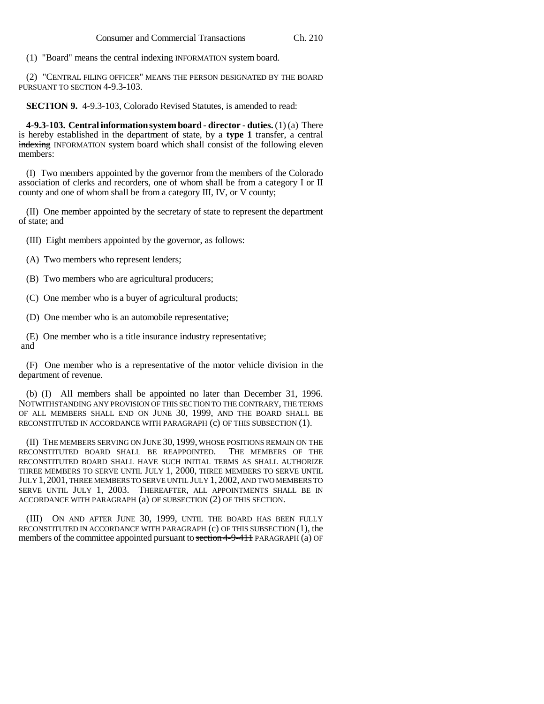(1) "Board" means the central indexing INFORMATION system board.

(2) "CENTRAL FILING OFFICER" MEANS THE PERSON DESIGNATED BY THE BOARD PURSUANT TO SECTION 4-9.3-103.

**SECTION 9.** 4-9.3-103, Colorado Revised Statutes, is amended to read:

**4-9.3-103. Central information system board - director - duties.** (1) (a) There is hereby established in the department of state, by a **type 1** transfer, a central indexing INFORMATION system board which shall consist of the following eleven members:

(I) Two members appointed by the governor from the members of the Colorado association of clerks and recorders, one of whom shall be from a category I or II county and one of whom shall be from a category III, IV, or V county;

(II) One member appointed by the secretary of state to represent the department of state; and

(III) Eight members appointed by the governor, as follows:

(A) Two members who represent lenders;

(B) Two members who are agricultural producers;

(C) One member who is a buyer of agricultural products;

(D) One member who is an automobile representative;

(E) One member who is a title insurance industry representative; and

(F) One member who is a representative of the motor vehicle division in the department of revenue.

(b) (I) All members shall be appointed no later than December 31, 1996. NOTWITHSTANDING ANY PROVISION OF THIS SECTION TO THE CONTRARY, THE TERMS OF ALL MEMBERS SHALL END ON JUNE 30, 1999, AND THE BOARD SHALL BE RECONSTITUTED IN ACCORDANCE WITH PARAGRAPH (c) OF THIS SUBSECTION (1).

(II) THE MEMBERS SERVING ON JUNE 30, 1999, WHOSE POSITIONS REMAIN ON THE ECONSTITUTED BOARD SHALL BE REAPPOINTED. THE MEMBERS OF THE RECONSTITUTED BOARD SHALL BE REAPPOINTED. RECONSTITUTED BOARD SHALL HAVE SUCH INITIAL TERMS AS SHALL AUTHORIZE THREE MEMBERS TO SERVE UNTIL JULY 1, 2000, THREE MEMBERS TO SERVE UNTIL JULY 1,2001, THREE MEMBERS TO SERVE UNTIL JULY 1, 2002, AND TWO MEMBERS TO SERVE UNTIL JULY 1, 2003. THEREAFTER, ALL APPOINTMENTS SHALL BE IN ACCORDANCE WITH PARAGRAPH (a) OF SUBSECTION (2) OF THIS SECTION.

(III) ON AND AFTER JUNE 30, 1999, UNTIL THE BOARD HAS BEEN FULLY RECONSTITUTED IN ACCORDANCE WITH PARAGRAPH (c) OF THIS SUBSECTION (1), the members of the committee appointed pursuant to section 4-9-411 PARAGRAPH (a) OF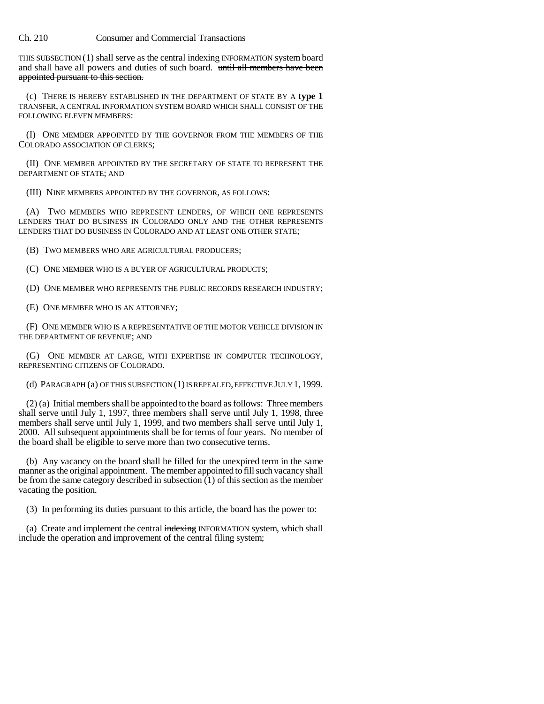THIS SUBSECTION  $(1)$  shall serve as the central indexing INFORMATION system board and shall have all powers and duties of such board. until all members have been appointed pursuant to this section.

(c) THERE IS HEREBY ESTABLISHED IN THE DEPARTMENT OF STATE BY A **type 1** TRANSFER, A CENTRAL INFORMATION SYSTEM BOARD WHICH SHALL CONSIST OF THE FOLLOWING ELEVEN MEMBERS:

(I) ONE MEMBER APPOINTED BY THE GOVERNOR FROM THE MEMBERS OF THE COLORADO ASSOCIATION OF CLERKS;

(II) ONE MEMBER APPOINTED BY THE SECRETARY OF STATE TO REPRESENT THE DEPARTMENT OF STATE; AND

(III) NINE MEMBERS APPOINTED BY THE GOVERNOR, AS FOLLOWS:

(A) TWO MEMBERS WHO REPRESENT LENDERS, OF WHICH ONE REPRESENTS LENDERS THAT DO BUSINESS IN COLORADO ONLY AND THE OTHER REPRESENTS LENDERS THAT DO BUSINESS IN COLORADO AND AT LEAST ONE OTHER STATE;

(B) TWO MEMBERS WHO ARE AGRICULTURAL PRODUCERS;

(C) ONE MEMBER WHO IS A BUYER OF AGRICULTURAL PRODUCTS;

(D) ONE MEMBER WHO REPRESENTS THE PUBLIC RECORDS RESEARCH INDUSTRY;

(E) ONE MEMBER WHO IS AN ATTORNEY;

(F) ONE MEMBER WHO IS A REPRESENTATIVE OF THE MOTOR VEHICLE DIVISION IN THE DEPARTMENT OF REVENUE; AND

(G) ONE MEMBER AT LARGE, WITH EXPERTISE IN COMPUTER TECHNOLOGY, REPRESENTING CITIZENS OF COLORADO.

(d) PARAGRAPH (a) OF THIS SUBSECTION (1) IS REPEALED, EFFECTIVE JULY 1,1999.

(2) (a) Initial members shall be appointed to the board as follows: Three members shall serve until July 1, 1997, three members shall serve until July 1, 1998, three members shall serve until July 1, 1999, and two members shall serve until July 1, 2000. All subsequent appointments shall be for terms of four years. No member of the board shall be eligible to serve more than two consecutive terms.

(b) Any vacancy on the board shall be filled for the unexpired term in the same manner as the original appointment. The member appointed to fill such vacancy shall be from the same category described in subsection (1) of this section as the member vacating the position.

(3) In performing its duties pursuant to this article, the board has the power to:

(a) Create and implement the central indexing INFORMATION system, which shall include the operation and improvement of the central filing system;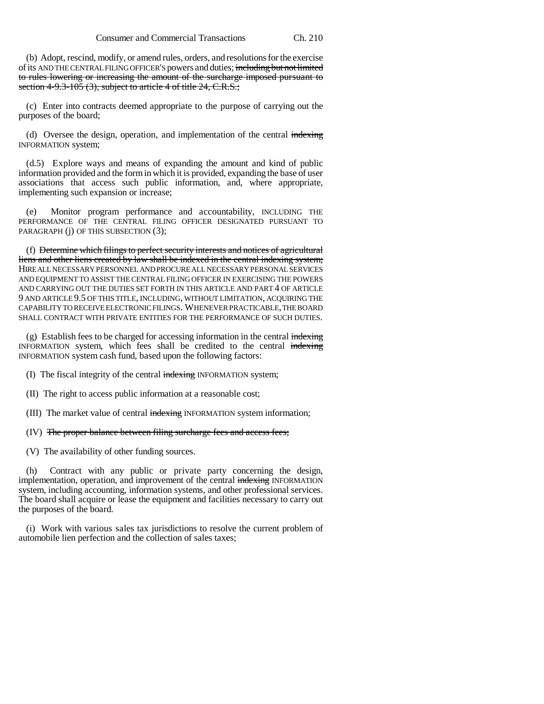(b) Adopt, rescind, modify, or amend rules, orders, and resolutions for the exercise of its AND THE CENTRAL FILING OFFICER'S powers and duties; including but not limited to rules lowering or increasing the amount of the surcharge imposed pursuant to section 4-9.3-105  $(3)$ , subject to article 4 of title 24, C.R.S.;

(c) Enter into contracts deemed appropriate to the purpose of carrying out the purposes of the board;

(d) Oversee the design, operation, and implementation of the central indexing INFORMATION system;

(d.5) Explore ways and means of expanding the amount and kind of public information provided and the form in which it is provided, expanding the base of user associations that access such public information, and, where appropriate, implementing such expansion or increase;

(e) Monitor program performance and accountability, INCLUDING THE PERFORMANCE OF THE CENTRAL FILING OFFICER DESIGNATED PURSUANT TO PARAGRAPH (j) OF THIS SUBSECTION (3);

(f) Determine which filings to perfect security interests and notices of agricultural liens and other liens created by law shall be indexed in the central indexing system; HIRE ALL NECESSARY PERSONNEL AND PROCURE ALL NECESSARY PERSONAL SERVICES AND EQUIPMENT TO ASSIST THE CENTRAL FILING OFFICER IN EXERCISING THE POWERS AND CARRYING OUT THE DUTIES SET FORTH IN THIS ARTICLE AND PART 4 OF ARTICLE 9 AND ARTICLE 9.5 OF THIS TITLE, INCLUDING, WITHOUT LIMITATION, ACQUIRING THE CAPABILITY TO RECEIVE ELECTRONIC FILINGS. WHENEVER PRACTICABLE, THE BOARD SHALL CONTRACT WITH PRIVATE ENTITIES FOR THE PERFORMANCE OF SUCH DUTIES.

(g) Establish fees to be charged for accessing information in the central  $\frac{1}{n}$ INFORMATION system, which fees shall be credited to the central indexing INFORMATION system cash fund, based upon the following factors:

- (I) The fiscal integrity of the central indexing INFORMATION system;
- (II) The right to access public information at a reasonable cost;
- (III) The market value of central indexing INFORMATION system information;
- (IV) The proper balance between filing surcharge fees and access fees;
- (V) The availability of other funding sources.

(h) Contract with any public or private party concerning the design, implementation, operation, and improvement of the central indexing INFORMATION system, including accounting, information systems, and other professional services. The board shall acquire or lease the equipment and facilities necessary to carry out the purposes of the board.

(i) Work with various sales tax jurisdictions to resolve the current problem of automobile lien perfection and the collection of sales taxes;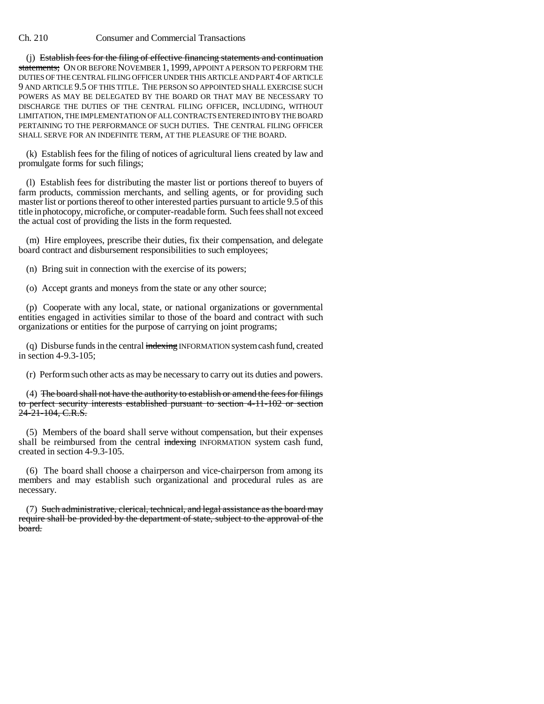(j) Establish fees for the filing of effective financing statements and continuation statements; ON OR BEFORE NOVEMBER 1, 1999, APPOINT A PERSON TO PERFORM THE DUTIES OF THE CENTRAL FILING OFFICER UNDER THIS ARTICLE AND PART 4 OF ARTICLE 9 AND ARTICLE 9.5 OF THIS TITLE. THE PERSON SO APPOINTED SHALL EXERCISE SUCH POWERS AS MAY BE DELEGATED BY THE BOARD OR THAT MAY BE NECESSARY TO DISCHARGE THE DUTIES OF THE CENTRAL FILING OFFICER, INCLUDING, WITHOUT LIMITATION, THE IMPLEMENTATION OF ALL CONTRACTS ENTERED INTO BY THE BOARD PERTAINING TO THE PERFORMANCE OF SUCH DUTIES. THE CENTRAL FILING OFFICER SHALL SERVE FOR AN INDEFINITE TERM, AT THE PLEASURE OF THE BOARD.

(k) Establish fees for the filing of notices of agricultural liens created by law and promulgate forms for such filings;

(l) Establish fees for distributing the master list or portions thereof to buyers of farm products, commission merchants, and selling agents, or for providing such master list or portions thereof to other interested parties pursuant to article 9.5 of this title in photocopy, microfiche, or computer-readable form. Such fees shall not exceed the actual cost of providing the lists in the form requested.

(m) Hire employees, prescribe their duties, fix their compensation, and delegate board contract and disbursement responsibilities to such employees;

(n) Bring suit in connection with the exercise of its powers;

(o) Accept grants and moneys from the state or any other source;

(p) Cooperate with any local, state, or national organizations or governmental entities engaged in activities similar to those of the board and contract with such organizations or entities for the purpose of carrying on joint programs;

(q) Disburse funds in the central indexing INFORMATION system cash fund, created in section 4-9.3-105;

(r) Perform such other acts as may be necessary to carry out its duties and powers.

(4) The board shall not have the authority to establish or amend the fees for filings to perfect security interests established pursuant to section 4-11-102 or section 24-21-104, C.R.S.

(5) Members of the board shall serve without compensation, but their expenses shall be reimbursed from the central indexing INFORMATION system cash fund, created in section 4-9.3-105.

(6) The board shall choose a chairperson and vice-chairperson from among its members and may establish such organizational and procedural rules as are necessary.

(7) Such administrative, clerical, technical, and legal assistance as the board may require shall be provided by the department of state, subject to the approval of the board.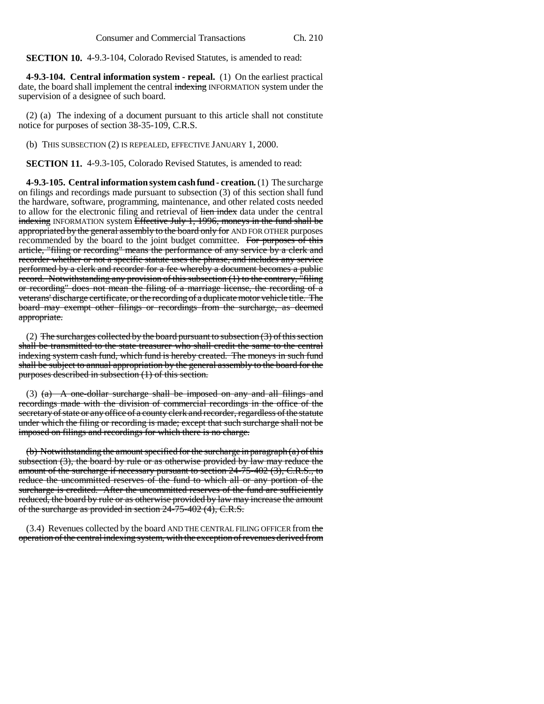**SECTION 10.** 4-9.3-104, Colorado Revised Statutes, is amended to read:

**4-9.3-104. Central information system - repeal.** (1) On the earliest practical date, the board shall implement the central indexing INFORMATION system under the supervision of a designee of such board.

(2) (a) The indexing of a document pursuant to this article shall not constitute notice for purposes of section 38-35-109, C.R.S.

(b) THIS SUBSECTION (2) IS REPEALED, EFFECTIVE JANUARY 1, 2000.

**SECTION 11.** 4-9.3-105, Colorado Revised Statutes, is amended to read:

**4-9.3-105. Central information system cash fund - creation.** (1) The surcharge on filings and recordings made pursuant to subsection (3) of this section shall fund the hardware, software, programming, maintenance, and other related costs needed to allow for the electronic filing and retrieval of lien index data under the central indexing INFORMATION system Effective July 1, 1996, moneys in the fund shall be appropriated by the general assembly to the board only for AND FOR OTHER purposes recommended by the board to the joint budget committee. For purposes of this article, "filing or recording" means the performance of any service by a clerk and recorder whether or not a specific statute uses the phrase, and includes any service performed by a clerk and recorder for a fee whereby a document becomes a public record. Notwithstanding any provision of this subsection  $(1)$  to the contrary,  $\overline{\phantom{a}}$  filing or recording" does not mean the filing of a marriage license, the recording of a veterans' discharge certificate, or the recording of a duplicate motor vehicle title. The board may exempt other filings or recordings from the surcharge, as deemed appropriate.

(2) The surcharges collected by the board pursuant to subsection  $(3)$  of this section shall be transmitted to the state treasurer who shall credit the same to the central indexing system cash fund, which fund is hereby created. The moneys in such fund shall be subject to annual appropriation by the general assembly to the board for the purposes described in subsection (1) of this section.

(3)  $(a)$  A one-dollar surcharge shall be imposed on any and all filings and recordings made with the division of commercial recordings in the office of the secretary of state or any office of a county clerk and recorder, regardless of the statute under which the filing or recording is made; except that such surcharge shall not be imposed on filings and recordings for which there is no charge.

(b) Notwithstanding the amount specified for the surcharge in paragraph (a) of this subsection  $(3)$ , the board by rule or as otherwise provided by law may reduce the amount of the surcharge if necessary pursuant to section 24-75-402 (3), C.R.S., to reduce the uncommitted reserves of the fund to which all or any portion of the surcharge is credited. After the uncommitted reserves of the fund are sufficiently reduced, the board by rule or as otherwise provided by law may increase the amount of the surcharge as provided in section 24-75-402 (4), C.R.S.

(3.4) Revenues collected by the board AND THE CENTRAL FILING OFFICER from the operation of the central indexing system, with the exception of revenues derived from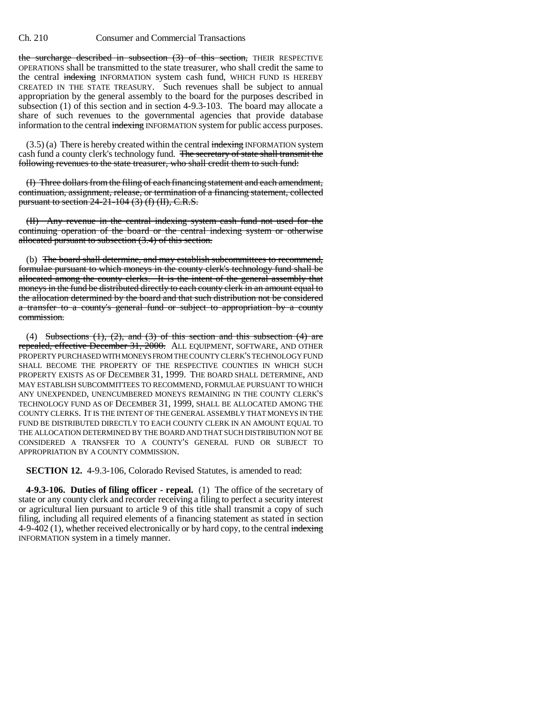the surcharge described in subsection (3) of this section, THEIR RESPECTIVE OPERATIONS shall be transmitted to the state treasurer, who shall credit the same to the central indexing INFORMATION system cash fund, WHICH FUND IS HEREBY CREATED IN THE STATE TREASURY. Such revenues shall be subject to annual appropriation by the general assembly to the board for the purposes described in subsection (1) of this section and in section 4-9.3-103. The board may allocate a share of such revenues to the governmental agencies that provide database information to the central indexing INFORMATION system for public access purposes.

 $(3.5)$  (a) There is hereby created within the central indexing INFORMATION system cash fund a county clerk's technology fund. The secretary of state shall transmit the following revenues to the state treasurer, who shall credit them to such fund:

(I) Three dollars from the filing of each financing statement and each amendment, continuation, assignment, release, or termination of a financing statement, collected pursuant to section 24-21-104 (3) (f) (II), C.R.S.

(II) Any revenue in the central indexing system cash fund not used for the continuing operation of the board or the central indexing system or otherwise allocated pursuant to subsection (3.4) of this section.

(b) The board shall determine, and may establish subcommittees to recommend, formulae pursuant to which moneys in the county clerk's technology fund shall be allocated among the county clerks. It is the intent of the general assembly that moneys in the fund be distributed directly to each county clerk in an amount equal to the allocation determined by the board and that such distribution not be considered a transfer to a county's general fund or subject to appropriation by a county commission.

(4) Subsections  $(1)$ ,  $(2)$ , and  $(3)$  of this section and this subsection  $(4)$  are repealed, effective December 31, 2000. ALL EQUIPMENT, SOFTWARE, AND OTHER PROPERTY PURCHASED WITH MONEYS FROM THE COUNTY CLERK'S TECHNOLOGY FUND SHALL BECOME THE PROPERTY OF THE RESPECTIVE COUNTIES IN WHICH SUCH PROPERTY EXISTS AS OF DECEMBER 31, 1999. THE BOARD SHALL DETERMINE, AND MAY ESTABLISH SUBCOMMITTEES TO RECOMMEND, FORMULAE PURSUANT TO WHICH ANY UNEXPENDED, UNENCUMBERED MONEYS REMAINING IN THE COUNTY CLERK'S TECHNOLOGY FUND AS OF DECEMBER 31, 1999, SHALL BE ALLOCATED AMONG THE COUNTY CLERKS. IT IS THE INTENT OF THE GENERAL ASSEMBLY THAT MONEYS IN THE FUND BE DISTRIBUTED DIRECTLY TO EACH COUNTY CLERK IN AN AMOUNT EQUAL TO THE ALLOCATION DETERMINED BY THE BOARD AND THAT SUCH DISTRIBUTION NOT BE CONSIDERED A TRANSFER TO A COUNTY'S GENERAL FUND OR SUBJECT TO APPROPRIATION BY A COUNTY COMMISSION.

**SECTION 12.** 4-9.3-106, Colorado Revised Statutes, is amended to read:

**4-9.3-106. Duties of filing officer - repeal.** (1) The office of the secretary of state or any county clerk and recorder receiving a filing to perfect a security interest or agricultural lien pursuant to article 9 of this title shall transmit a copy of such filing, including all required elements of a financing statement as stated in section 4-9-402 (1), whether received electronically or by hard copy, to the central indexing INFORMATION system in a timely manner.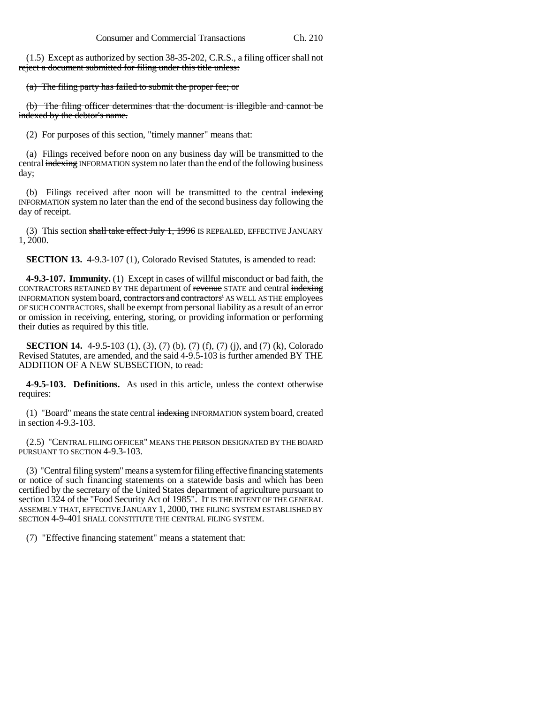(1.5) Except as authorized by section 38-35-202, C.R.S., a filing officer shall not reject a document submitted for filing under this title unless:

(a) The filing party has failed to submit the proper fee; or

(b) The filing officer determines that the document is illegible and cannot be indexed by the debtor's name.

(2) For purposes of this section, "timely manner" means that:

(a) Filings received before noon on any business day will be transmitted to the central indexing INFORMATION system no later than the end of the following business day;

(b) Filings received after noon will be transmitted to the central indexing INFORMATION system no later than the end of the second business day following the day of receipt.

(3) This section shall take effect July 1, 1996 IS REPEALED, EFFECTIVE JANUARY 1, 2000.

**SECTION 13.** 4-9.3-107 (1), Colorado Revised Statutes, is amended to read:

**4-9.3-107. Immunity.** (1) Except in cases of willful misconduct or bad faith, the CONTRACTORS RETAINED BY THE department of revenue STATE and central indexing INFORMATION system board, contractors and contractors' AS WELL AS THE employees OF SUCH CONTRACTORS, shall be exempt from personal liability as a result of an error or omission in receiving, entering, storing, or providing information or performing their duties as required by this title.

**SECTION 14.** 4-9.5-103 (1), (3), (7) (b), (7) (f), (7) (j), and (7) (k), Colorado Revised Statutes, are amended, and the said 4-9.5-103 is further amended BY THE ADDITION OF A NEW SUBSECTION, to read:

**4-9.5-103. Definitions.** As used in this article, unless the context otherwise requires:

(1) "Board" means the state central indexing INFORMATION system board, created in section 4-9.3-103.

(2.5) "CENTRAL FILING OFFICER" MEANS THE PERSON DESIGNATED BY THE BOARD PURSUANT TO SECTION 4-9.3-103.

(3) "Central filing system" means a system for filing effective financing statements or notice of such financing statements on a statewide basis and which has been certified by the secretary of the United States department of agriculture pursuant to section 1324 of the "Food Security Act of 1985". IT IS THE INTENT OF THE GENERAL ASSEMBLY THAT, EFFECTIVE JANUARY 1, 2000, THE FILING SYSTEM ESTABLISHED BY SECTION 4-9-401 SHALL CONSTITUTE THE CENTRAL FILING SYSTEM.

(7) "Effective financing statement" means a statement that: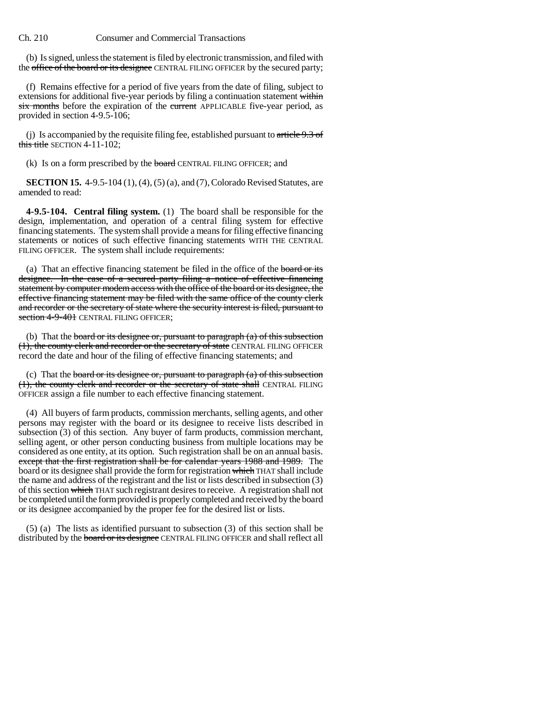(b) Is signed, unless the statement is filed by electronic transmission, and filed with the office of the board or its designee CENTRAL FILING OFFICER by the secured party;

(f) Remains effective for a period of five years from the date of filing, subject to extensions for additional five-year periods by filing a continuation statement within six months before the expiration of the current APPLICABLE five-year period, as provided in section 4-9.5-106;

(j) Is accompanied by the requisite filing fee, established pursuant to  $\ar{t}$ iele 9.3 of this title SECTION 4-11-102:

(k) Is on a form prescribed by the board CENTRAL FILING OFFICER; and

**SECTION 15.** 4-9.5-104 (1), (4), (5) (a), and (7), Colorado Revised Statutes, are amended to read:

**4-9.5-104. Central filing system.** (1) The board shall be responsible for the design, implementation, and operation of a central filing system for effective financing statements. The system shall provide a means for filing effective financing statements or notices of such effective financing statements WITH THE CENTRAL FILING OFFICER. The system shall include requirements:

(a) That an effective financing statement be filed in the office of the **board or its** designee. In the case of a secured party filing a notice of effective financing statement by computer modem access with the office of the board or its designee, the effective financing statement may be filed with the same office of the county clerk and recorder or the secretary of state where the security interest is filed, pursuant to section 4-9-401 CENTRAL FILING OFFICER;

(b) That the **board or its designee or, pursuant to paragraph**  $(a)$  of this subsection (1), the county clerk and recorder or the secretary of state CENTRAL FILING OFFICER record the date and hour of the filing of effective financing statements; and

(c) That the board or its designee or, pursuant to paragraph  $(a)$  of this subsection (1), the county clerk and recorder or the secretary of state shall CENTRAL FILING OFFICER assign a file number to each effective financing statement.

(4) All buyers of farm products, commission merchants, selling agents, and other persons may register with the board or its designee to receive lists described in subsection (3) of this section. Any buyer of farm products, commission merchant, selling agent, or other person conducting business from multiple locations may be considered as one entity, at its option. Such registration shall be on an annual basis. except that the first registration shall be for calendar years 1988 and 1989. The board or its designee shall provide the form for registration which THAT shall include the name and address of the registrant and the list or lists described in subsection (3) of this section which THAT such registrant desires to receive. A registration shall not be completed until the form provided is properly completed and received by the board or its designee accompanied by the proper fee for the desired list or lists.

(5) (a) The lists as identified pursuant to subsection (3) of this section shall be distributed by the **board or its designee** CENTRAL FILING OFFICER and shall reflect all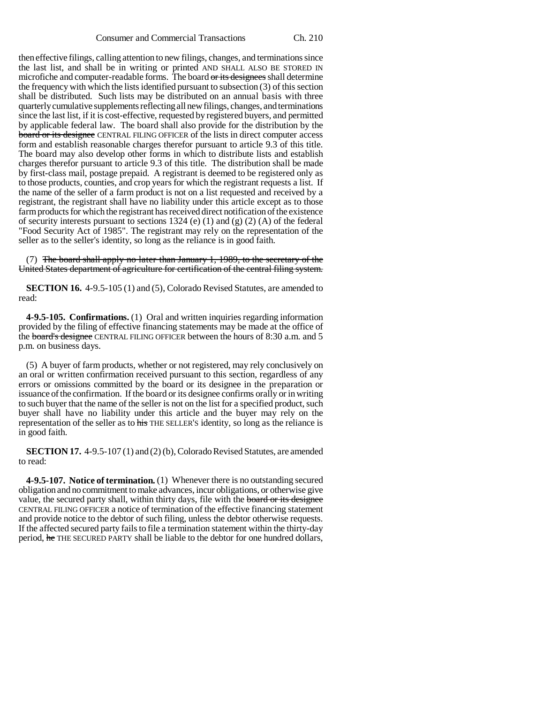then effective filings, calling attention to new filings, changes, and terminations since the last list, and shall be in writing or printed AND SHALL ALSO BE STORED IN microfiche and computer-readable forms. The board or its designees shall determine the frequency with which the lists identified pursuant to subsection (3) of this section shall be distributed. Such lists may be distributed on an annual basis with three quarterly cumulative supplements reflecting all new filings, changes, and terminations since the last list, if it is cost-effective, requested by registered buyers, and permitted by applicable federal law. The board shall also provide for the distribution by the board or its designee CENTRAL FILING OFFICER of the lists in direct computer access form and establish reasonable charges therefor pursuant to article 9.3 of this title. The board may also develop other forms in which to distribute lists and establish charges therefor pursuant to article 9.3 of this title. The distribution shall be made by first-class mail, postage prepaid. A registrant is deemed to be registered only as to those products, counties, and crop years for which the registrant requests a list. If the name of the seller of a farm product is not on a list requested and received by a registrant, the registrant shall have no liability under this article except as to those farm products for which the registrant has received direct notification of the existence of security interests pursuant to sections 1324 (e) (1) and (g) (2) (A) of the federal "Food Security Act of 1985". The registrant may rely on the representation of the seller as to the seller's identity, so long as the reliance is in good faith.

(7) The board shall apply no later than January 1, 1989, to the secretary of the United States department of agriculture for certification of the central filing system.

**SECTION 16.** 4-9.5-105 (1) and (5), Colorado Revised Statutes, are amended to read:

**4-9.5-105. Confirmations.** (1) Oral and written inquiries regarding information provided by the filing of effective financing statements may be made at the office of the board's designee CENTRAL FILING OFFICER between the hours of 8:30 a.m. and 5 p.m. on business days.

(5) A buyer of farm products, whether or not registered, may rely conclusively on an oral or written confirmation received pursuant to this section, regardless of any errors or omissions committed by the board or its designee in the preparation or issuance of the confirmation. If the board or its designee confirms orally or in writing to such buyer that the name of the seller is not on the list for a specified product, such buyer shall have no liability under this article and the buyer may rely on the representation of the seller as to his THE SELLER'S identity, so long as the reliance is in good faith.

**SECTION 17.** 4-9.5-107 (1) and (2) (b), Colorado Revised Statutes, are amended to read:

**4-9.5-107. Notice of termination.** (1) Whenever there is no outstanding secured obligation and no commitment to make advances, incur obligations, or otherwise give value, the secured party shall, within thirty days, file with the board or its designee CENTRAL FILING OFFICER a notice of termination of the effective financing statement and provide notice to the debtor of such filing, unless the debtor otherwise requests. If the affected secured party fails to file a termination statement within the thirty-day period, he THE SECURED PARTY shall be liable to the debtor for one hundred dollars,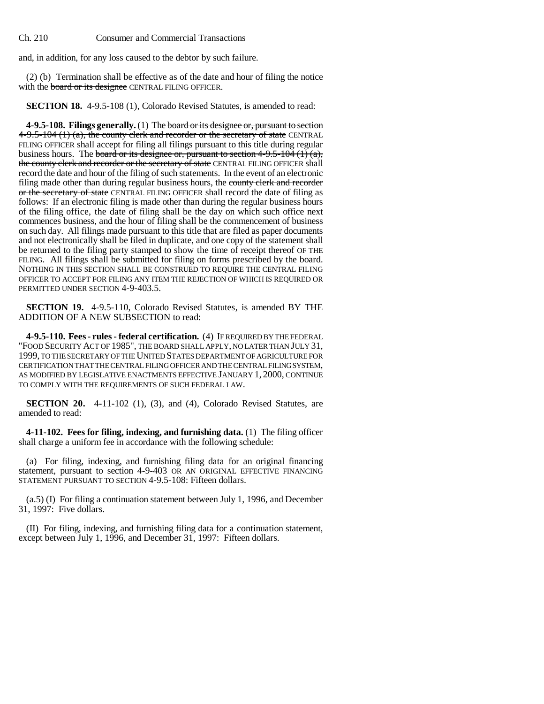and, in addition, for any loss caused to the debtor by such failure.

(2) (b) Termination shall be effective as of the date and hour of filing the notice with the **board or its designee** CENTRAL FILING OFFICER.

**SECTION 18.** 4-9.5-108 (1), Colorado Revised Statutes, is amended to read:

**4-9.5-108. Filings generally.** (1) The board or its designee or, pursuant to section  $4-9.5-104$  (1) (a), the county clerk and recorder or the secretary of state CENTRAL FILING OFFICER shall accept for filing all filings pursuant to this title during regular business hours. The board or its designee or, pursuant to section  $4-9.5-104(1)(a)$ , the county clerk and recorder or the secretary of state CENTRAL FILING OFFICER shall record the date and hour of the filing of such statements. In the event of an electronic filing made other than during regular business hours, the county clerk and recorder or the secretary of state CENTRAL FILING OFFICER shall record the date of filing as follows: If an electronic filing is made other than during the regular business hours of the filing office, the date of filing shall be the day on which such office next commences business, and the hour of filing shall be the commencement of business on such day. All filings made pursuant to this title that are filed as paper documents and not electronically shall be filed in duplicate, and one copy of the statement shall be returned to the filing party stamped to show the time of receipt thereof OF THE FILING. All filings shall be submitted for filing on forms prescribed by the board. NOTHING IN THIS SECTION SHALL BE CONSTRUED TO REQUIRE THE CENTRAL FILING OFFICER TO ACCEPT FOR FILING ANY ITEM THE REJECTION OF WHICH IS REQUIRED OR PERMITTED UNDER SECTION 4-9-403.5.

**SECTION 19.** 4-9.5-110, Colorado Revised Statutes, is amended BY THE ADDITION OF A NEW SUBSECTION to read:

**4-9.5-110. Fees - rules - federal certification.** (4) IF REQUIRED BY THE FEDERAL "FOOD SECURITY ACT OF 1985", THE BOARD SHALL APPLY, NO LATER THAN JULY 31, 1999, TO THE SECRETARY OF THE UNITED STATES DEPARTMENT OF AGRICULTURE FOR CERTIFICATION THAT THE CENTRAL FILING OFFICER AND THE CENTRAL FILING SYSTEM, AS MODIFIED BY LEGISLATIVE ENACTMENTS EFFECTIVE JANUARY 1, 2000, CONTINUE TO COMPLY WITH THE REQUIREMENTS OF SUCH FEDERAL LAW.

**SECTION 20.** 4-11-102 (1), (3), and (4), Colorado Revised Statutes, are amended to read:

**4-11-102. Fees for filing, indexing, and furnishing data.** (1) The filing officer shall charge a uniform fee in accordance with the following schedule:

(a) For filing, indexing, and furnishing filing data for an original financing statement, pursuant to section 4-9-403 OR AN ORIGINAL EFFECTIVE FINANCING STATEMENT PURSUANT TO SECTION 4-9.5-108: Fifteen dollars.

(a.5) (I) For filing a continuation statement between July 1, 1996, and December 31, 1997: Five dollars.

(II) For filing, indexing, and furnishing filing data for a continuation statement, except between July 1, 1996, and December 31, 1997: Fifteen dollars.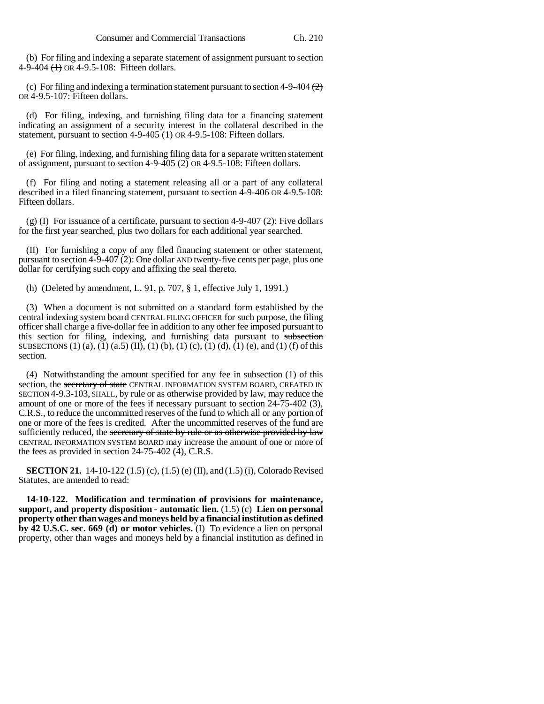(b) For filing and indexing a separate statement of assignment pursuant to section 4-9-404 (1) OR 4-9.5-108: Fifteen dollars.

(c) For filing and indexing a termination statement pursuant to section 4-9-404  $(2)$ OR 4-9.5-107: Fifteen dollars.

(d) For filing, indexing, and furnishing filing data for a financing statement indicating an assignment of a security interest in the collateral described in the statement, pursuant to section 4-9-405 (1) OR 4-9.5-108: Fifteen dollars.

(e) For filing, indexing, and furnishing filing data for a separate written statement of assignment, pursuant to section 4-9-405 (2) OR 4-9.5-108: Fifteen dollars.

(f) For filing and noting a statement releasing all or a part of any collateral described in a filed financing statement, pursuant to section 4-9-406 OR 4-9.5-108: Fifteen dollars.

(g) (I) For issuance of a certificate, pursuant to section 4-9-407 (2): Five dollars for the first year searched, plus two dollars for each additional year searched.

(II) For furnishing a copy of any filed financing statement or other statement, pursuant to section 4-9-407 (2): One dollar AND twenty-five cents per page, plus one dollar for certifying such copy and affixing the seal thereto.

(h) (Deleted by amendment, L. 91, p. 707, § 1, effective July 1, 1991.)

(3) When a document is not submitted on a standard form established by the central indexing system board CENTRAL FILING OFFICER for such purpose, the filing officer shall charge a five-dollar fee in addition to any other fee imposed pursuant to this section for filing, indexing, and furnishing data pursuant to subsection SUBSECTIONS (1) (a), (1) (a.5) (II), (1) (b), (1) (c), (1) (d), (1) (e), and (1) (f) of this section.

(4) Notwithstanding the amount specified for any fee in subsection (1) of this section, the secretary of state CENTRAL INFORMATION SYSTEM BOARD, CREATED IN SECTION 4-9.3-103, SHALL, by rule or as otherwise provided by law,  $\frac{m}{m}$  reduce the amount of one or more of the fees if necessary pursuant to section 24-75-402 (3), C.R.S., to reduce the uncommitted reserves of the fund to which all or any portion of one or more of the fees is credited. After the uncommitted reserves of the fund are sufficiently reduced, the secretary of state by rule or as otherwise provided by law CENTRAL INFORMATION SYSTEM BOARD may increase the amount of one or more of the fees as provided in section 24-75-402 (4), C.R.S.

**SECTION 21.** 14-10-122 (1.5) (c), (1.5) (e) (II), and (1.5) (i), Colorado Revised Statutes, are amended to read:

**14-10-122. Modification and termination of provisions for maintenance, support, and property disposition - automatic lien.** (1.5) (c) **Lien on personal property other than wages and moneys held by a financial institution as defined by 42 U.S.C. sec. 669 (d) or motor vehicles.** (I) To evidence a lien on personal property, other than wages and moneys held by a financial institution as defined in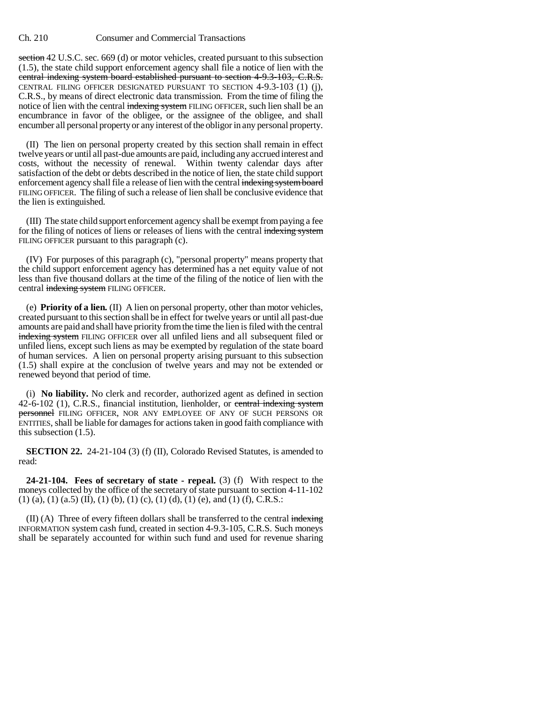section 42 U.S.C. sec. 669 (d) or motor vehicles, created pursuant to this subsection (1.5), the state child support enforcement agency shall file a notice of lien with the central indexing system board established pursuant to section 4-9.3-103, C.R.S. CENTRAL FILING OFFICER DESIGNATED PURSUANT TO SECTION 4-9.3-103 (1) (j), C.R.S., by means of direct electronic data transmission. From the time of filing the notice of lien with the central indexing system FILING OFFICER, such lien shall be an encumbrance in favor of the obligee, or the assignee of the obligee, and shall encumber all personal property or any interest of the obligor in any personal property.

(II) The lien on personal property created by this section shall remain in effect twelve years or until all past-due amounts are paid, including any accrued interest and costs, without the necessity of renewal. Within twenty calendar days after satisfaction of the debt or debts described in the notice of lien, the state child support enforcement agency shall file a release of lien with the central indexing system board FILING OFFICER. The filing of such a release of lien shall be conclusive evidence that the lien is extinguished.

(III) The state child support enforcement agency shall be exempt from paying a fee for the filing of notices of liens or releases of liens with the central indexing system FILING OFFICER pursuant to this paragraph (c).

(IV) For purposes of this paragraph (c), "personal property" means property that the child support enforcement agency has determined has a net equity value of not less than five thousand dollars at the time of the filing of the notice of lien with the central indexing system FILING OFFICER.

(e) **Priority of a lien.** (II) A lien on personal property, other than motor vehicles, created pursuant to this section shall be in effect for twelve years or until all past-due amounts are paid and shall have priority from the time the lien is filed with the central indexing system FILING OFFICER over all unfiled liens and all subsequent filed or unfiled liens, except such liens as may be exempted by regulation of the state board of human services. A lien on personal property arising pursuant to this subsection (1.5) shall expire at the conclusion of twelve years and may not be extended or renewed beyond that period of time.

(i) **No liability.** No clerk and recorder, authorized agent as defined in section 42-6-102 (1), C.R.S., financial institution, lienholder, or central indexing system personnel FILING OFFICER, NOR ANY EMPLOYEE OF ANY OF SUCH PERSONS OR ENTITIES, shall be liable for damages for actions taken in good faith compliance with this subsection (1.5).

**SECTION 22.** 24-21-104 (3) (f) (II), Colorado Revised Statutes, is amended to read:

**24-21-104. Fees of secretary of state - repeal.** (3) (f) With respect to the moneys collected by the office of the secretary of state pursuant to section 4-11-102  $(1)$  (a), (1) (a.5) (II), (1) (b), (1) (c), (1) (d), (1) (e), and (1) (f), C.R.S.:

 $(II)$  (A) Three of every fifteen dollars shall be transferred to the central indexing INFORMATION system cash fund, created in section 4-9.3-105, C.R.S. Such moneys shall be separately accounted for within such fund and used for revenue sharing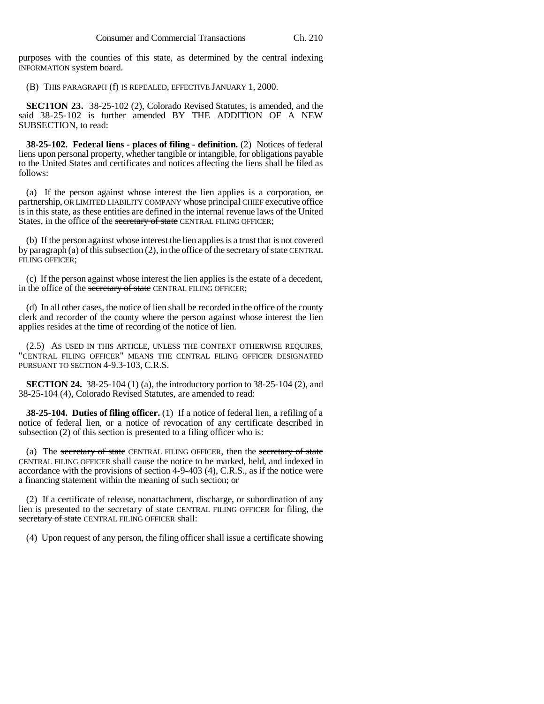purposes with the counties of this state, as determined by the central indexing INFORMATION system board.

(B) THIS PARAGRAPH (f) IS REPEALED, EFFECTIVE JANUARY 1, 2000.

**SECTION 23.** 38-25-102 (2), Colorado Revised Statutes, is amended, and the said 38-25-102 is further amended BY THE ADDITION OF A NEW SUBSECTION, to read:

**38-25-102. Federal liens - places of filing - definition.** (2) Notices of federal liens upon personal property, whether tangible or intangible, for obligations payable to the United States and certificates and notices affecting the liens shall be filed as follows:

(a) If the person against whose interest the lien applies is a corporation,  $\sigma$ partnership, OR LIMITED LIABILITY COMPANY whose principal CHIEF executive office is in this state, as these entities are defined in the internal revenue laws of the United States, in the office of the secretary of state CENTRAL FILING OFFICER;

(b) If the person against whose interest the lien applies is a trust that is not covered by paragraph (a) of this subsection  $(2)$ , in the office of the secretary of state CENTRAL FILING OFFICER;

(c) If the person against whose interest the lien applies is the estate of a decedent, in the office of the secretary of state CENTRAL FILING OFFICER;

(d) In all other cases, the notice of lien shall be recorded in the office of the county clerk and recorder of the county where the person against whose interest the lien applies resides at the time of recording of the notice of lien.

(2.5) AS USED IN THIS ARTICLE, UNLESS THE CONTEXT OTHERWISE REQUIRES, "CENTRAL FILING OFFICER" MEANS THE CENTRAL FILING OFFICER DESIGNATED PURSUANT TO SECTION 4-9.3-103, C.R.S.

**SECTION 24.** 38-25-104 (1) (a), the introductory portion to 38-25-104 (2), and 38-25-104 (4), Colorado Revised Statutes, are amended to read:

**38-25-104. Duties of filing officer.** (1) If a notice of federal lien, a refiling of a notice of federal lien, or a notice of revocation of any certificate described in subsection (2) of this section is presented to a filing officer who is:

(a) The secretary of state CENTRAL FILING OFFICER, then the secretary of state CENTRAL FILING OFFICER shall cause the notice to be marked, held, and indexed in accordance with the provisions of section 4-9-403 (4), C.R.S., as if the notice were a financing statement within the meaning of such section; or

(2) If a certificate of release, nonattachment, discharge, or subordination of any lien is presented to the secretary of state CENTRAL FILING OFFICER for filing, the secretary of state CENTRAL FILING OFFICER shall:

(4) Upon request of any person, the filing officer shall issue a certificate showing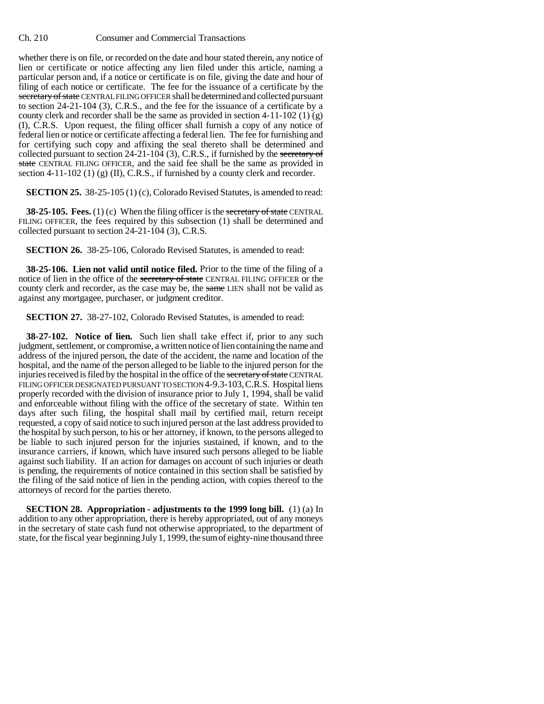whether there is on file, or recorded on the date and hour stated therein, any notice of lien or certificate or notice affecting any lien filed under this article, naming a particular person and, if a notice or certificate is on file, giving the date and hour of filing of each notice or certificate. The fee for the issuance of a certificate by the secretary of state CENTRAL FILING OFFICER shall be determined and collected pursuant to section 24-21-104 (3), C.R.S., and the fee for the issuance of a certificate by a county clerk and recorder shall be the same as provided in section 4-11-102 (1) (g) (I), C.R.S. Upon request, the filing officer shall furnish a copy of any notice of federal lien or notice or certificate affecting a federal lien. The fee for furnishing and for certifying such copy and affixing the seal thereto shall be determined and collected pursuant to section 24-21-104 (3), C.R.S., if furnished by the secretary of state CENTRAL FILING OFFICER, and the said fee shall be the same as provided in section 4-11-102 (1) (g) (II), C.R.S., if furnished by a county clerk and recorder.

**SECTION 25.** 38-25-105 (1) (c), Colorado Revised Statutes, is amended to read:

**38-25-105. Fees.** (1) (c) When the filing officer is the secretary of state CENTRAL FILING OFFICER, the fees required by this subsection (1) shall be determined and collected pursuant to section 24-21-104 (3), C.R.S.

**SECTION 26.** 38-25-106, Colorado Revised Statutes, is amended to read:

**38-25-106. Lien not valid until notice filed.** Prior to the time of the filing of a notice of lien in the office of the secretary of state CENTRAL FILING OFFICER or the county clerk and recorder, as the case may be, the same LIEN shall not be valid as against any mortgagee, purchaser, or judgment creditor.

**SECTION 27.** 38-27-102, Colorado Revised Statutes, is amended to read:

**38-27-102. Notice of lien.** Such lien shall take effect if, prior to any such judgment, settlement, or compromise, a written notice of lien containing the name and address of the injured person, the date of the accident, the name and location of the hospital, and the name of the person alleged to be liable to the injured person for the injuries received is filed by the hospital in the office of the secretary of state CENTRAL FILING OFFICER DESIGNATED PURSUANT TO SECTION 4-9.3-103,C.R.S. Hospital liens properly recorded with the division of insurance prior to July 1, 1994, shall be valid and enforceable without filing with the office of the secretary of state. Within ten days after such filing, the hospital shall mail by certified mail, return receipt requested, a copy of said notice to such injured person at the last address provided to the hospital by such person, to his or her attorney, if known, to the persons alleged to be liable to such injured person for the injuries sustained, if known, and to the insurance carriers, if known, which have insured such persons alleged to be liable against such liability. If an action for damages on account of such injuries or death is pending, the requirements of notice contained in this section shall be satisfied by the filing of the said notice of lien in the pending action, with copies thereof to the attorneys of record for the parties thereto.

**SECTION 28.** Appropriation - adjustments to the 1999 long bill. (1) (a) In addition to any other appropriation, there is hereby appropriated, out of any moneys in the secretary of state cash fund not otherwise appropriated, to the department of state, for the fiscal year beginning July 1, 1999, the sum of eighty-nine thousand three